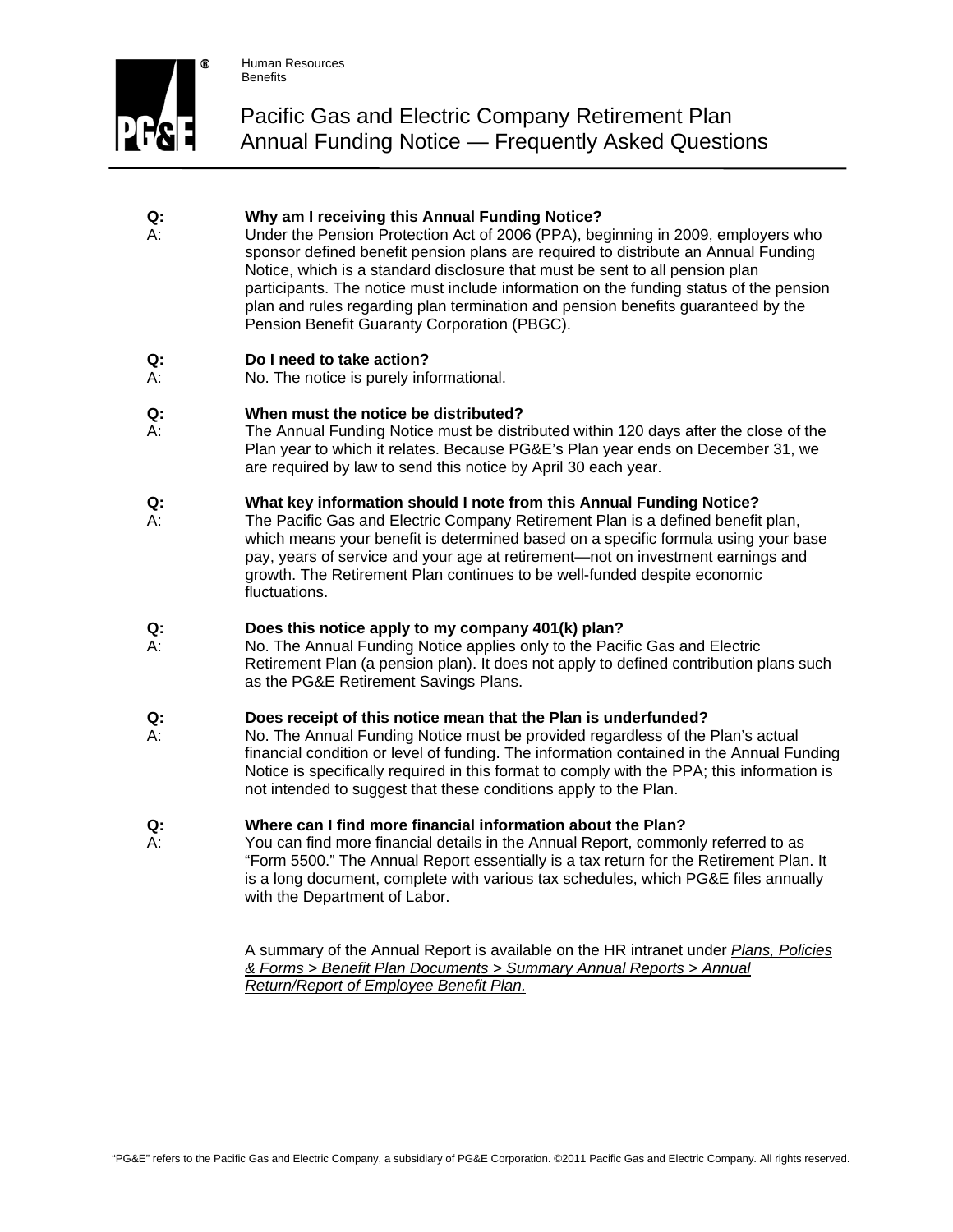

# Pacific Gas and Electric Company Retirement Plan Annual Funding Notice — Frequently Asked Questions

## **Q: Why am I receiving this Annual Funding Notice?**

A: Under the Pension Protection Act of 2006 (PPA), beginning in 2009, employers who sponsor defined benefit pension plans are required to distribute an Annual Funding Notice, which is a standard disclosure that must be sent to all pension plan participants. The notice must include information on the funding status of the pension plan and rules regarding plan termination and pension benefits guaranteed by the Pension Benefit Guaranty Corporation (PBGC).

### **Q: Do I need to take action?**

A: No. The notice is purely informational.

### **Q: When must the notice be distributed?**

A: The Annual Funding Notice must be distributed within 120 days after the close of the Plan year to which it relates. Because PG&E's Plan year ends on December 31, we are required by law to send this notice by April 30 each year.

### **Q: What key information should I note from this Annual Funding Notice?**

A: The Pacific Gas and Electric Company Retirement Plan is a defined benefit plan, which means your benefit is determined based on a specific formula using your base pay, years of service and your age at retirement—not on investment earnings and growth. The Retirement Plan continues to be well-funded despite economic fluctuations.

### **Q: Does this notice apply to my company 401(k) plan?**

A: No. The Annual Funding Notice applies only to the Pacific Gas and Electric Retirement Plan (a pension plan). It does not apply to defined contribution plans such as the PG&E Retirement Savings Plans.

### **Q: Does receipt of this notice mean that the Plan is underfunded?**

A: No. The Annual Funding Notice must be provided regardless of the Plan's actual financial condition or level of funding. The information contained in the Annual Funding Notice is specifically required in this format to comply with the PPA; this information is not intended to suggest that these conditions apply to the Plan.

### **Q: Where can I find more financial information about the Plan?**

A:You can find more financial details in the Annual Report, commonly referred to as "Form 5500." The Annual Report essentially is a tax return for the Retirement Plan. It is a long document, complete with various tax schedules, which PG&E files annually with the Department of Labor.

> A summary of the Annual Report is available on the HR intranet under *[Plans, Policies](http://www/HR/PlansPolicies/BenefitPlanDocs.shtml#SummaryAnnualReports)  [& Forms > Benefit Plan Documents > Summary Annual Reports](http://www/HR/PlansPolicies/BenefitPlanDocs.shtml#SummaryAnnualReports) > Annual Return/Report of Employee Benefit Plan.*